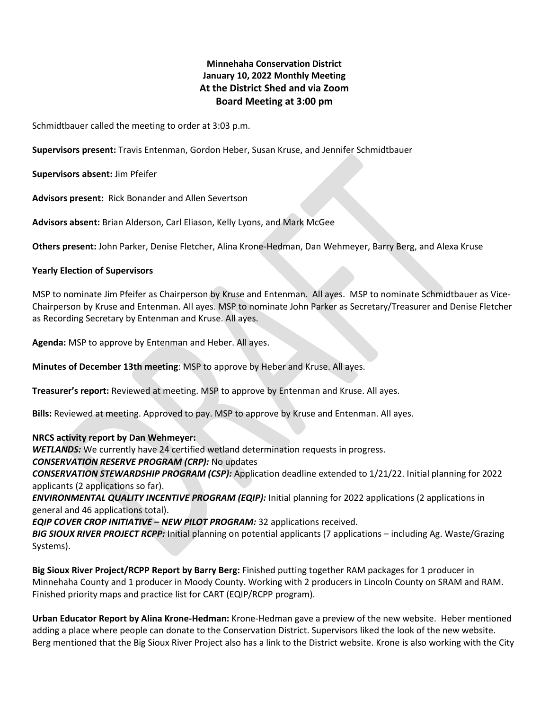# **Minnehaha Conservation District January 10, 2022 Monthly Meeting At the District Shed and via Zoom Board Meeting at 3:00 pm**

Schmidtbauer called the meeting to order at 3:03 p.m.

**Supervisors present:** Travis Entenman, Gordon Heber, Susan Kruse, and Jennifer Schmidtbauer

**Supervisors absent:** Jim Pfeifer

**Advisors present:** Rick Bonander and Allen Severtson

**Advisors absent:** Brian Alderson, Carl Eliason, Kelly Lyons, and Mark McGee

**Others present:** John Parker, Denise Fletcher, Alina Krone-Hedman, Dan Wehmeyer, Barry Berg, and Alexa Kruse

#### **Yearly Election of Supervisors**

MSP to nominate Jim Pfeifer as Chairperson by Kruse and Entenman. All ayes. MSP to nominate Schmidtbauer as Vice-Chairperson by Kruse and Entenman. All ayes. MSP to nominate John Parker as Secretary/Treasurer and Denise Fletcher as Recording Secretary by Entenman and Kruse. All ayes.

**Agenda:** MSP to approve by Entenman and Heber. All ayes.

**Minutes of December 13th meeting**: MSP to approve by Heber and Kruse. All ayes.

**Treasurer's report:** Reviewed at meeting. MSP to approve by Entenman and Kruse. All ayes.

**Bills:** Reviewed at meeting. Approved to pay. MSP to approve by Kruse and Entenman. All ayes.

#### **NRCS activity report by Dan Wehmeyer:**

*WETLANDS:* We currently have 24 certified wetland determination requests in progress.

### *CONSERVATION RESERVE PROGRAM (CRP):* No updates

*CONSERVATION STEWARDSHIP PROGRAM (CSP):* Application deadline extended to 1/21/22. Initial planning for 2022 applicants (2 applications so far).

*ENVIRONMENTAL QUALITY INCENTIVE PROGRAM (EQIP):* Initial planning for 2022 applications (2 applications in general and 46 applications total).

*EQIP COVER CROP INITIATIVE – NEW PILOT PROGRAM:* 32 applications received.

*BIG SIOUX RIVER PROJECT RCPP:* Initial planning on potential applicants (7 applications – including Ag. Waste/Grazing Systems).

**Big Sioux River Project/RCPP Report by Barry Berg:** Finished putting together RAM packages for 1 producer in Minnehaha County and 1 producer in Moody County. Working with 2 producers in Lincoln County on SRAM and RAM. Finished priority maps and practice list for CART (EQIP/RCPP program).

**Urban Educator Report by Alina Krone-Hedman:** Krone-Hedman gave a preview of the new website. Heber mentioned adding a place where people can donate to the Conservation District. Supervisors liked the look of the new website. Berg mentioned that the Big Sioux River Project also has a link to the District website. Krone is also working with the City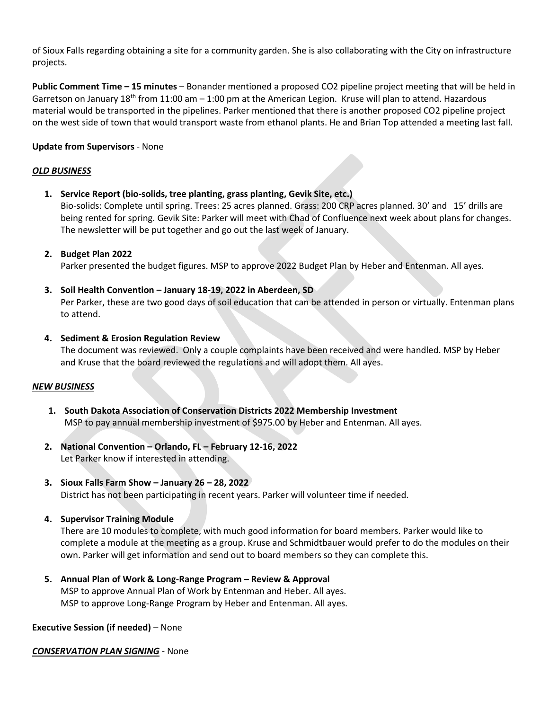of Sioux Falls regarding obtaining a site for a community garden. She is also collaborating with the City on infrastructure projects.

**Public Comment Time – 15 minutes** – Bonander mentioned a proposed CO2 pipeline project meeting that will be held in Garretson on January  $18^{th}$  from  $11:00$  am  $-1:00$  pm at the American Legion. Kruse will plan to attend. Hazardous material would be transported in the pipelines. Parker mentioned that there is another proposed CO2 pipeline project on the west side of town that would transport waste from ethanol plants. He and Brian Top attended a meeting last fall.

# **Update from Supervisors** - None

### *OLD BUSINESS*

**1. Service Report (bio-solids, tree planting, grass planting, Gevik Site, etc.)**

Bio-solids: Complete until spring. Trees: 25 acres planned. Grass: 200 CRP acres planned. 30' and 15' drills are being rented for spring. Gevik Site: Parker will meet with Chad of Confluence next week about plans for changes. The newsletter will be put together and go out the last week of January.

# **2. Budget Plan 2022**

Parker presented the budget figures. MSP to approve 2022 Budget Plan by Heber and Entenman. All ayes.

**3. Soil Health Convention – January 18-19, 2022 in Aberdeen, SD**

Per Parker, these are two good days of soil education that can be attended in person or virtually. Entenman plans to attend.

**4. Sediment & Erosion Regulation Review**

The document was reviewed. Only a couple complaints have been received and were handled. MSP by Heber and Kruse that the board reviewed the regulations and will adopt them. All ayes.

### *NEW BUSINESS*

- **1. South Dakota Association of Conservation Districts 2022 Membership Investment** MSP to pay annual membership investment of \$975.00 by Heber and Entenman. All ayes.
- **2. National Convention – Orlando, FL – February 12-16, 2022** Let Parker know if interested in attending.
- **3. Sioux Falls Farm Show – January 26 – 28, 2022** District has not been participating in recent years. Parker will volunteer time if needed.
- **4. Supervisor Training Module**

There are 10 modules to complete, with much good information for board members. Parker would like to complete a module at the meeting as a group. Kruse and Schmidtbauer would prefer to do the modules on their own. Parker will get information and send out to board members so they can complete this.

**5. Annual Plan of Work & Long-Range Program – Review & Approval** MSP to approve Annual Plan of Work by Entenman and Heber. All ayes. MSP to approve Long-Range Program by Heber and Entenman. All ayes.

### **Executive Session (if needed)** – None

*CONSERVATION PLAN SIGNING* - None